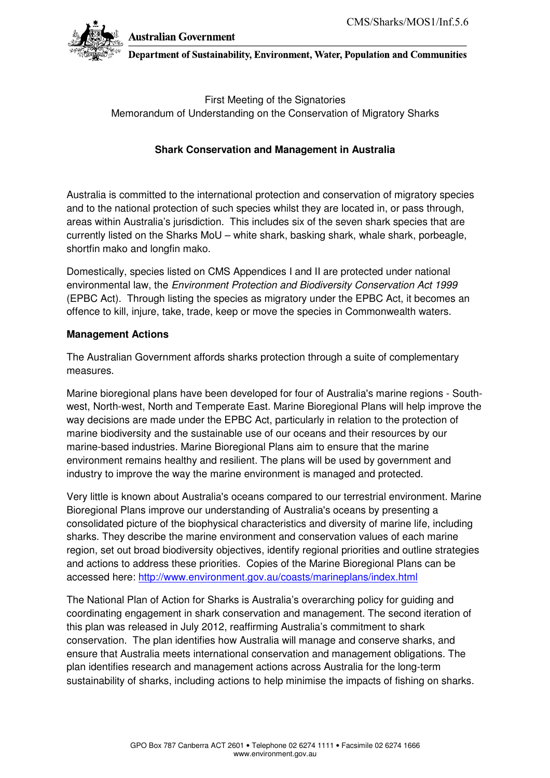

Australian Government

Department of Sustainability, Environment, Water, Population and Communities

First Meeting of the Signatories Memorandum of Understanding on the Conservation of Migratory Sharks

# **Shark Conservation and Management in Australia**

Australia is committed to the international protection and conservation of migratory species and to the national protection of such species whilst they are located in, or pass through, areas within Australia's jurisdiction. This includes six of the seven shark species that are currently listed on the Sharks MoU – white shark, basking shark, whale shark, porbeagle, shortfin mako and longfin mako.

Domestically, species listed on CMS Appendices I and II are protected under national environmental law, the Environment Protection and Biodiversity Conservation Act 1999 (EPBC Act). Through listing the species as migratory under the EPBC Act, it becomes an offence to kill, injure, take, trade, keep or move the species in Commonwealth waters.

## **Management Actions**

The Australian Government affords sharks protection through a suite of complementary measures.

Marine bioregional plans have been developed for four of Australia's marine regions - Southwest, North-west, North and Temperate East. Marine Bioregional Plans will help improve the way decisions are made under the EPBC Act, particularly in relation to the protection of marine biodiversity and the sustainable use of our oceans and their resources by our marine-based industries. Marine Bioregional Plans aim to ensure that the marine environment remains healthy and resilient. The plans will be used by government and industry to improve the way the marine environment is managed and protected.

Very little is known about Australia's oceans compared to our terrestrial environment. Marine Bioregional Plans improve our understanding of Australia's oceans by presenting a consolidated picture of the biophysical characteristics and diversity of marine life, including sharks. They describe the marine environment and conservation values of each marine region, set out broad biodiversity objectives, identify regional priorities and outline strategies and actions to address these priorities. Copies of the Marine Bioregional Plans can be accessed here: http://www.environment.gov.au/coasts/marineplans/index.html

The National Plan of Action for Sharks is Australia's overarching policy for guiding and coordinating engagement in shark conservation and management. The second iteration of this plan was released in July 2012, reaffirming Australia's commitment to shark conservation. The plan identifies how Australia will manage and conserve sharks, and ensure that Australia meets international conservation and management obligations. The plan identifies research and management actions across Australia for the long-term sustainability of sharks, including actions to help minimise the impacts of fishing on sharks.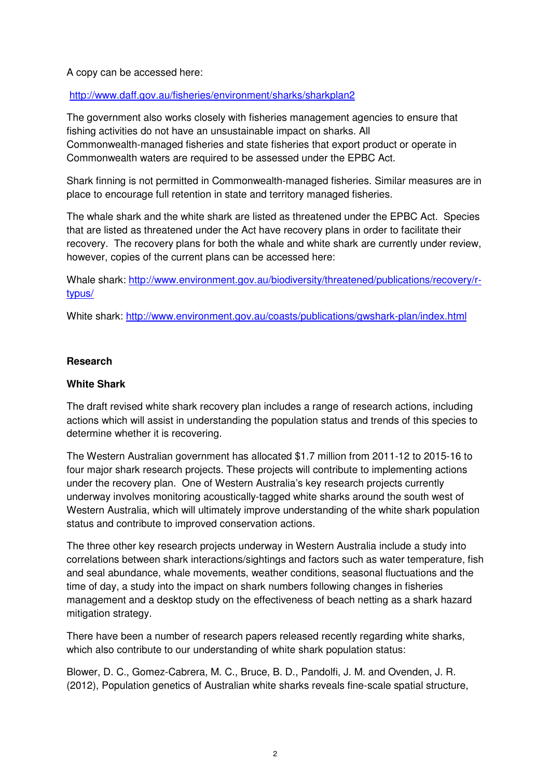A copy can be accessed here:

http://www.daff.gov.au/fisheries/environment/sharks/sharkplan2

The government also works closely with fisheries management agencies to ensure that fishing activities do not have an unsustainable impact on sharks. All Commonwealth-managed fisheries and state fisheries that export product or operate in Commonwealth waters are required to be assessed under the EPBC Act.

Shark finning is not permitted in Commonwealth-managed fisheries. Similar measures are in place to encourage full retention in state and territory managed fisheries.

The whale shark and the white shark are listed as threatened under the EPBC Act. Species that are listed as threatened under the Act have recovery plans in order to facilitate their recovery. The recovery plans for both the whale and white shark are currently under review, however, copies of the current plans can be accessed here:

Whale shark: http://www.environment.gov.au/biodiversity/threatened/publications/recovery/rtypus/

White shark: http://www.environment.gov.au/coasts/publications/gwshark-plan/index.html

## **Research**

## **White Shark**

The draft revised white shark recovery plan includes a range of research actions, including actions which will assist in understanding the population status and trends of this species to determine whether it is recovering.

The Western Australian government has allocated \$1.7 million from 2011-12 to 2015-16 to four major shark research projects. These projects will contribute to implementing actions under the recovery plan. One of Western Australia's key research projects currently underway involves monitoring acoustically-tagged white sharks around the south west of Western Australia, which will ultimately improve understanding of the white shark population status and contribute to improved conservation actions.

The three other key research projects underway in Western Australia include a study into correlations between shark interactions/sightings and factors such as water temperature, fish and seal abundance, whale movements, weather conditions, seasonal fluctuations and the time of day, a study into the impact on shark numbers following changes in fisheries management and a desktop study on the effectiveness of beach netting as a shark hazard mitigation strategy.

There have been a number of research papers released recently regarding white sharks, which also contribute to our understanding of white shark population status:

Blower, D. C., Gomez-Cabrera, M. C., Bruce, B. D., Pandolfi, J. M. and Ovenden, J. R. (2012), Population genetics of Australian white sharks reveals fine-scale spatial structure,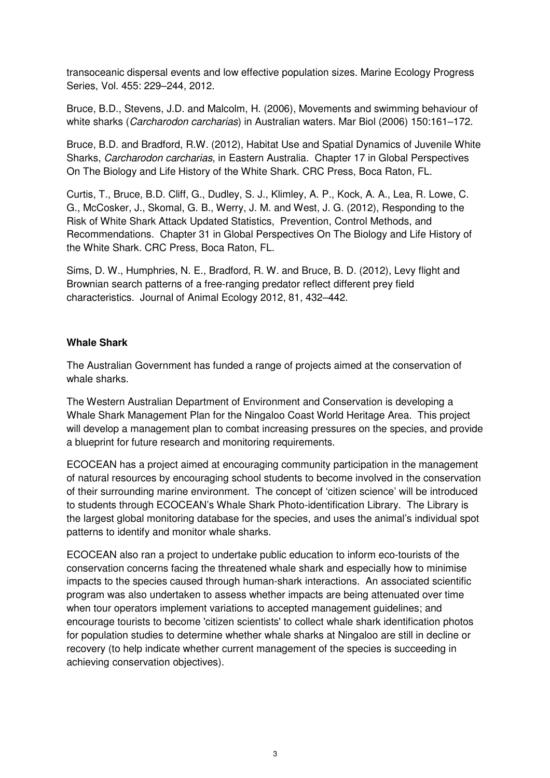transoceanic dispersal events and low effective population sizes. Marine Ecology Progress Series, Vol. 455: 229–244, 2012.

Bruce, B.D., Stevens, J.D. and Malcolm, H. (2006), Movements and swimming behaviour of white sharks (Carcharodon carcharias) in Australian waters. Mar Biol (2006) 150:161-172.

Bruce, B.D. and Bradford, R.W. (2012), Habitat Use and Spatial Dynamics of Juvenile White Sharks, Carcharodon carcharias, in Eastern Australia. Chapter 17 in Global Perspectives On The Biology and Life History of the White Shark. CRC Press, Boca Raton, FL.

Curtis, T., Bruce, B.D. Cliff, G., Dudley, S. J., Klimley, A. P., Kock, A. A., Lea, R. Lowe, C. G., McCosker, J., Skomal, G. B., Werry, J. M. and West, J. G. (2012), Responding to the Risk of White Shark Attack Updated Statistics, Prevention, Control Methods, and Recommendations. Chapter 31 in Global Perspectives On The Biology and Life History of the White Shark. CRC Press, Boca Raton, FL.

Sims, D. W., Humphries, N. E., Bradford, R. W. and Bruce, B. D. (2012), Levy flight and Brownian search patterns of a free-ranging predator reflect different prey field characteristics. Journal of Animal Ecology 2012, 81, 432–442.

## **Whale Shark**

The Australian Government has funded a range of projects aimed at the conservation of whale sharks.

The Western Australian Department of Environment and Conservation is developing a Whale Shark Management Plan for the Ningaloo Coast World Heritage Area. This project will develop a management plan to combat increasing pressures on the species, and provide a blueprint for future research and monitoring requirements.

ECOCEAN has a project aimed at encouraging community participation in the management of natural resources by encouraging school students to become involved in the conservation of their surrounding marine environment. The concept of 'citizen science' will be introduced to students through ECOCEAN's Whale Shark Photo-identification Library. The Library is the largest global monitoring database for the species, and uses the animal's individual spot patterns to identify and monitor whale sharks.

ECOCEAN also ran a project to undertake public education to inform eco-tourists of the conservation concerns facing the threatened whale shark and especially how to minimise impacts to the species caused through human-shark interactions. An associated scientific program was also undertaken to assess whether impacts are being attenuated over time when tour operators implement variations to accepted management guidelines; and encourage tourists to become 'citizen scientists' to collect whale shark identification photos for population studies to determine whether whale sharks at Ningaloo are still in decline or recovery (to help indicate whether current management of the species is succeeding in achieving conservation objectives).